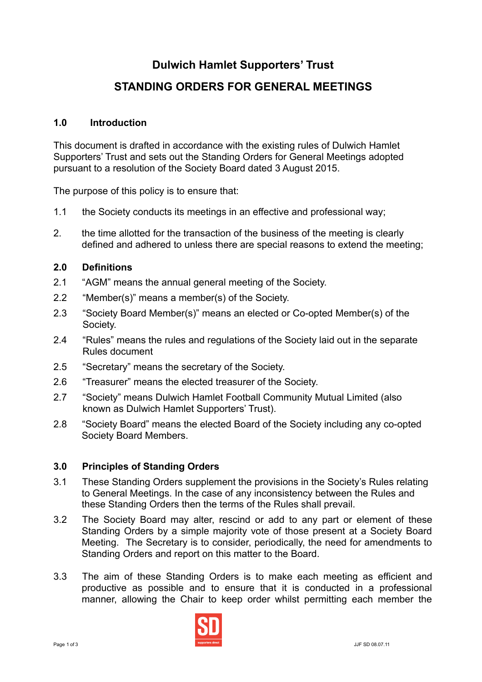# **Dulwich Hamlet Supporters' Trust**

# **STANDING ORDERS FOR GENERAL MEETINGS**

### **1.0 Introduction**

This document is drafted in accordance with the existing rules of Dulwich Hamlet Supporters' Trust and sets out the Standing Orders for General Meetings adopted pursuant to a resolution of the Society Board dated 3 August 2015.

The purpose of this policy is to ensure that:

- 1.1 the Society conducts its meetings in an effective and professional way;
- 2. the time allotted for the transaction of the business of the meeting is clearly defined and adhered to unless there are special reasons to extend the meeting;

### **2.0 Definitions**

- 2.1 "AGM" means the annual general meeting of the Society.
- 2.2 "Member(s)" means a member(s) of the Society.
- 2.3 "Society Board Member(s)" means an elected or Co-opted Member(s) of the Society.
- 2.4 "Rules" means the rules and regulations of the Society laid out in the separate Rules document
- 2.5 "Secretary" means the secretary of the Society.
- 2.6 "Treasurer" means the elected treasurer of the Society.
- 2.7 "Society" means Dulwich Hamlet Football Community Mutual Limited (also known as Dulwich Hamlet Supporters' Trust).
- 2.8 "Society Board" means the elected Board of the Society including any co-opted Society Board Members.

## **3.0 Principles of Standing Orders**

- 3.1 These Standing Orders supplement the provisions in the Society's Rules relating to General Meetings. In the case of any inconsistency between the Rules and these Standing Orders then the terms of the Rules shall prevail.
- 3.2 The Society Board may alter, rescind or add to any part or element of these Standing Orders by a simple majority vote of those present at a Society Board Meeting. The Secretary is to consider, periodically, the need for amendments to Standing Orders and report on this matter to the Board.
- 3.3 The aim of these Standing Orders is to make each meeting as efficient and productive as possible and to ensure that it is conducted in a professional manner, allowing the Chair to keep order whilst permitting each member the

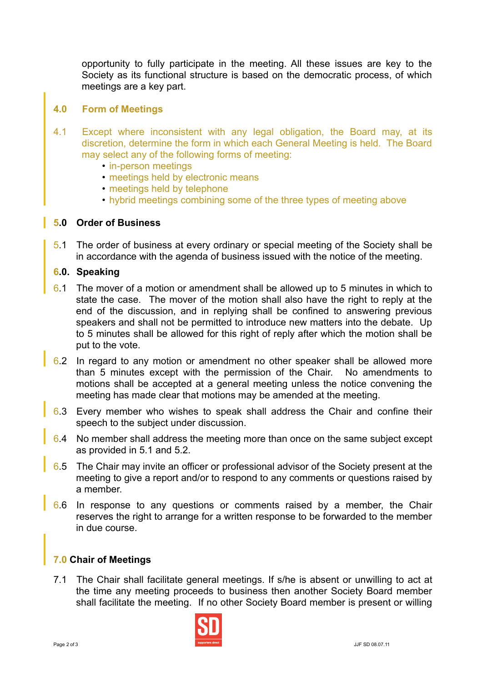opportunity to fully participate in the meeting. All these issues are key to the Society as its functional structure is based on the democratic process, of which meetings are a key part.

## **4.0 Form of Meetings**

- 4.1 Except where inconsistent with any legal obligation, the Board may, at its discretion, determine the form in which each General Meeting is held. The Board may select any of the following forms of meeting:
	- in-person meetings
	- meetings held by electronic means
	- meetings held by telephone
	- hybrid meetings combining some of the three types of meeting above

#### **5.0 Order of Business**

5.1 The order of business at every ordinary or special meeting of the Society shall be in accordance with the agenda of business issued with the notice of the meeting.

### **6.0. Speaking**

- 6.1 The mover of a motion or amendment shall be allowed up to 5 minutes in which to state the case. The mover of the motion shall also have the right to reply at the end of the discussion, and in replying shall be confined to answering previous speakers and shall not be permitted to introduce new matters into the debate. Up to 5 minutes shall be allowed for this right of reply after which the motion shall be put to the vote.
- 6.2 In regard to any motion or amendment no other speaker shall be allowed more than 5 minutes except with the permission of the Chair. No amendments to motions shall be accepted at a general meeting unless the notice convening the meeting has made clear that motions may be amended at the meeting.
- 6.3 Every member who wishes to speak shall address the Chair and confine their speech to the subject under discussion.
- 6.4 No member shall address the meeting more than once on the same subject except as provided in 5.1 and 5.2.
- 6.5 The Chair may invite an officer or professional advisor of the Society present at the meeting to give a report and/or to respond to any comments or questions raised by a member.
- 6.6 In response to any questions or comments raised by a member, the Chair reserves the right to arrange for a written response to be forwarded to the member in due course.

#### **7.0 Chair of Meetings**

7.1 The Chair shall facilitate general meetings. If s/he is absent or unwilling to act at the time any meeting proceeds to business then another Society Board member shall facilitate the meeting. If no other Society Board member is present or willing